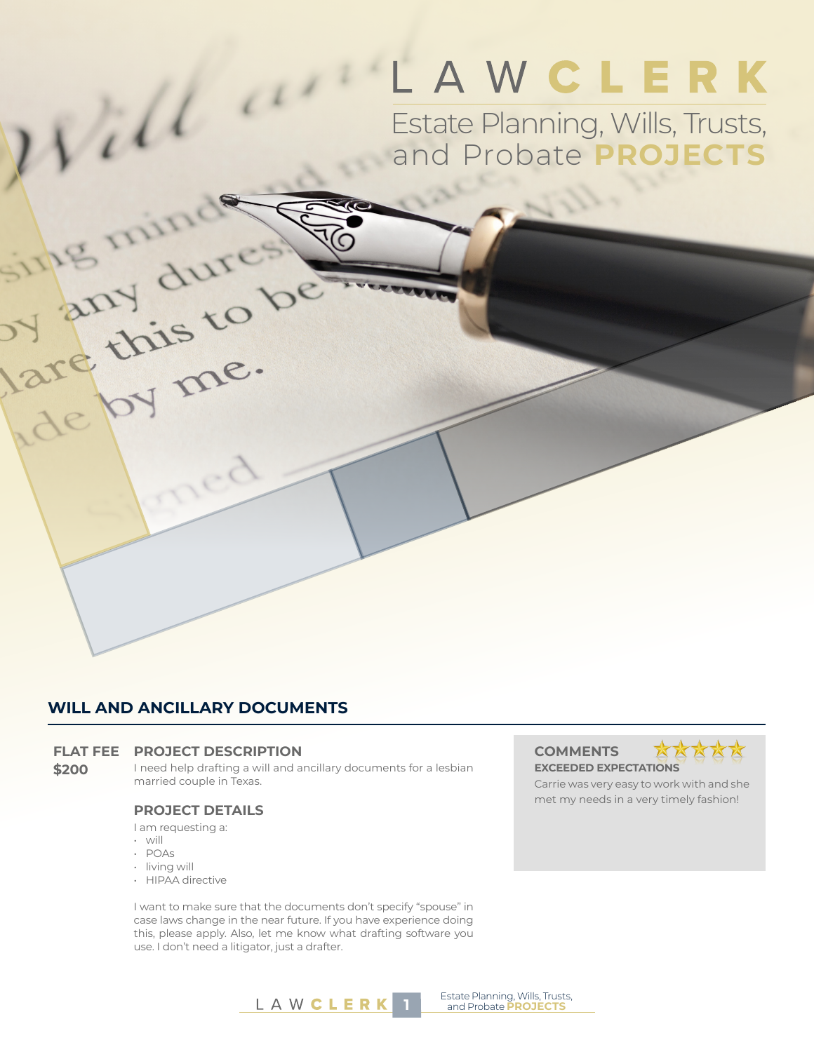# LAWCLERK

Estate Planning, Wills, Trusts, and Probate **PROJECTS**

### **WILL AND ANCILLARY DOCUMENTS**

#### **FLAT FEE PROJECT DESCRIPTION COMMENTS**

**\$200** I need help drafting a will and ancillary documents for a lesbian married couple in Texas.

#### **PROJECT DETAILS**

I am requesting a:

• will

rill

are this to r

by me.

- POAs
- living will
- HIPAA directive

I want to make sure that the documents don't specify "spouse" in case laws change in the near future. If you have experience doing this, please apply. Also, let me know what drafting software you use. I don't need a litigator, just a drafter.

## **EXCEEDED EXPECTATIONS**



Carrie was very easy to work with and she met my needs in a very timely fashion!

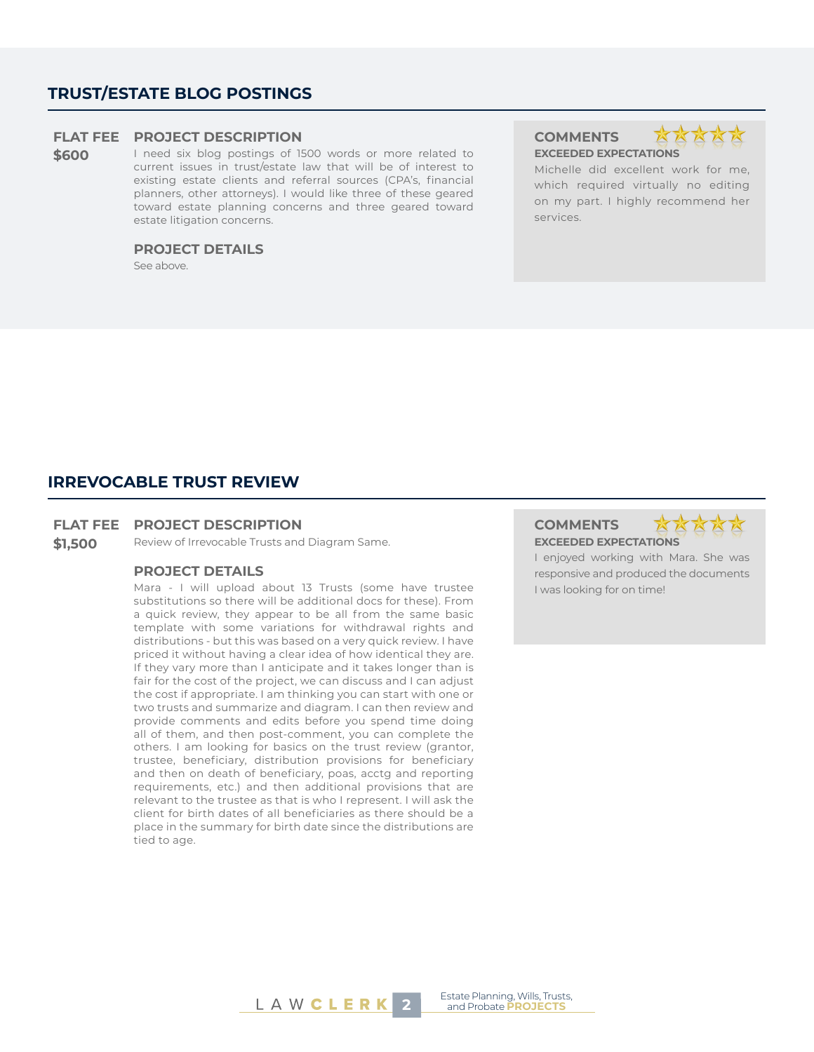### **TRUST/ESTATE BLOG POSTINGS**

#### **FLAT FEE PROJECT DESCRIPTION COMMENTS**

**\$600** I need six blog postings of 1500 words or more related to current issues in trust/estate law that will be of interest to existing estate clients and referral sources (CPA's, financial planners, other attorneys). I would like three of these geared toward estate planning concerns and three geared toward estate litigation concerns.

#### **PROJECT DETAILS**

See above.

**EXCEEDED EXPECTATIONS**



Michelle did excellent work for me, which required virtually no editing on my part. I highly recommend her services.

#### **IRREVOCABLE TRUST REVIEW**

#### **FLAT FEE PROJECT DESCRIPTION COMMENTS**

**\$1,500** Review of Irrevocable Trusts and Diagram Same. **EXCEEDED EXPECTATIONS**

#### **PROJECT DETAILS**

Mara - I will upload about 13 Trusts (some have trustee substitutions so there will be additional docs for these). From a quick review, they appear to be all from the same basic template with some variations for withdrawal rights and distributions - but this was based on a very quick review. I have priced it without having a clear idea of how identical they are. If they vary more than I anticipate and it takes longer than is fair for the cost of the project, we can discuss and I can adjust the cost if appropriate. I am thinking you can start with one or two trusts and summarize and diagram. I can then review and provide comments and edits before you spend time doing all of them, and then post-comment, you can complete the others. I am looking for basics on the trust review (grantor, trustee, beneficiary, distribution provisions for beneficiary and then on death of beneficiary, poas, acctg and reporting requirements, etc.) and then additional provisions that are relevant to the trustee as that is who I represent. I will ask the client for birth dates of all beneficiaries as there should be a place in the summary for birth date since the distributions are tied to age.



I enjoyed working with Mara. She was responsive and produced the documents I was looking for on time!

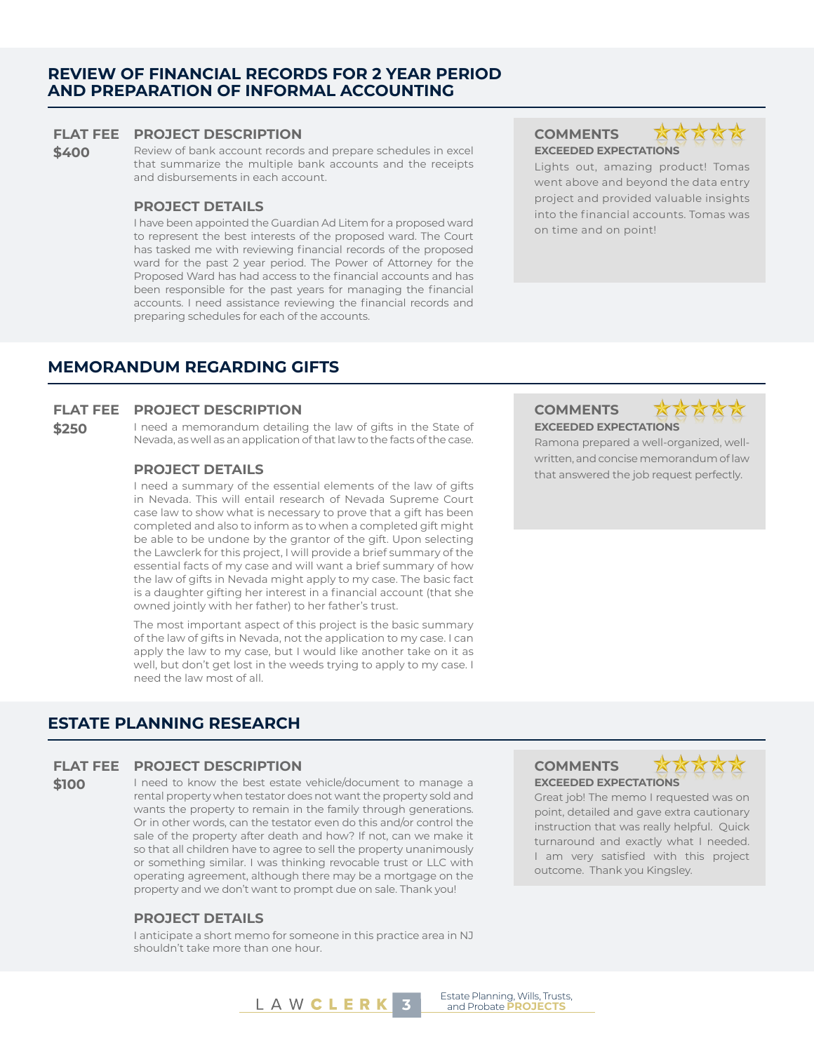#### **REVIEW OF FINANCIAL RECORDS FOR 2 YEAR PERIOD AND PREPARATION OF INFORMAL ACCOUNTING**

#### **FLAT FEE PROJECT DESCRIPTION COMMENTS**

**\$400** Review of bank account records and prepare schedules in excel that summarize the multiple bank accounts and the receipts and disbursements in each account.

#### **PROJECT DETAILS**

I have been appointed the Guardian Ad Litem for a proposed ward to represent the best interests of the proposed ward. The Court has tasked me with reviewing financial records of the proposed ward for the past 2 year period. The Power of Attorney for the Proposed Ward has had access to the financial accounts and has been responsible for the past years for managing the financial accounts. I need assistance reviewing the financial records and preparing schedules for each of the accounts.

**EXCEEDED EXPECTATIONS**



Lights out, amazing product! Tomas went above and beyond the data entry project and provided valuable insights into the financial accounts. Tomas was on time and on point!

#### **MEMORANDUM REGARDING GIFTS**

#### **FLAT FEE PROJECT DESCRIPTION COMMENTS**

**\$250** I need a memorandum detailing the law of gifts in the State of Nevada, as well as an application of that law to the facts of the case.

I need a summary of the essential elements of the law of gifts in Nevada. This will entail research of Nevada Supreme Court case law to show what is necessary to prove that a gift has been completed and also to inform as to when a completed gift might be able to be undone by the grantor of the gift. Upon selecting the Lawclerk for this project, I will provide a brief summary of the essential facts of my case and will want a brief summary of how the law of gifts in Nevada might apply to my case. The basic fact is a daughter gifting her interest in a financial account (that she owned jointly with her father) to her father's trust.

The most important aspect of this project is the basic summary of the law of gifts in Nevada, not the application to my case. I can apply the law to my case, but I would like another take on it as well, but don't get lost in the weeds trying to apply to my case. I need the law most of all.

## **EXCEEDED EXPECTATIONS**



Ramona prepared a well-organized, wellwritten, and concise memorandum of law **PROJECT DETAILS** that answered the job request perfectly.

#### **ESTATE PLANNING RESEARCH**

#### **FLAT FEE PROJECT DESCRIPTION COMMENTS**

**\$100** I need to know the best estate vehicle/document to manage a rental property when testator does not want the property sold and wants the property to remain in the family through generations. Or in other words, can the testator even do this and/or control the sale of the property after death and how? If not, can we make it so that all children have to agree to sell the property unanimously or something similar. I was thinking revocable trust or LLC with operating agreement, although there may be a mortgage on the property and we don't want to prompt due on sale. Thank you!

#### **PROJECT DETAILS**

I anticipate a short memo for someone in this practice area in NJ shouldn't take more than one hour.





Great job! The memo I requested was on point, detailed and gave extra cautionary instruction that was really helpful. Quick turnaround and exactly what I needed. I am very satisfied with this project outcome. Thank you Kingsley.

**Extate Planning, Willis, Irust:**<br>and Probate **PROJECTS**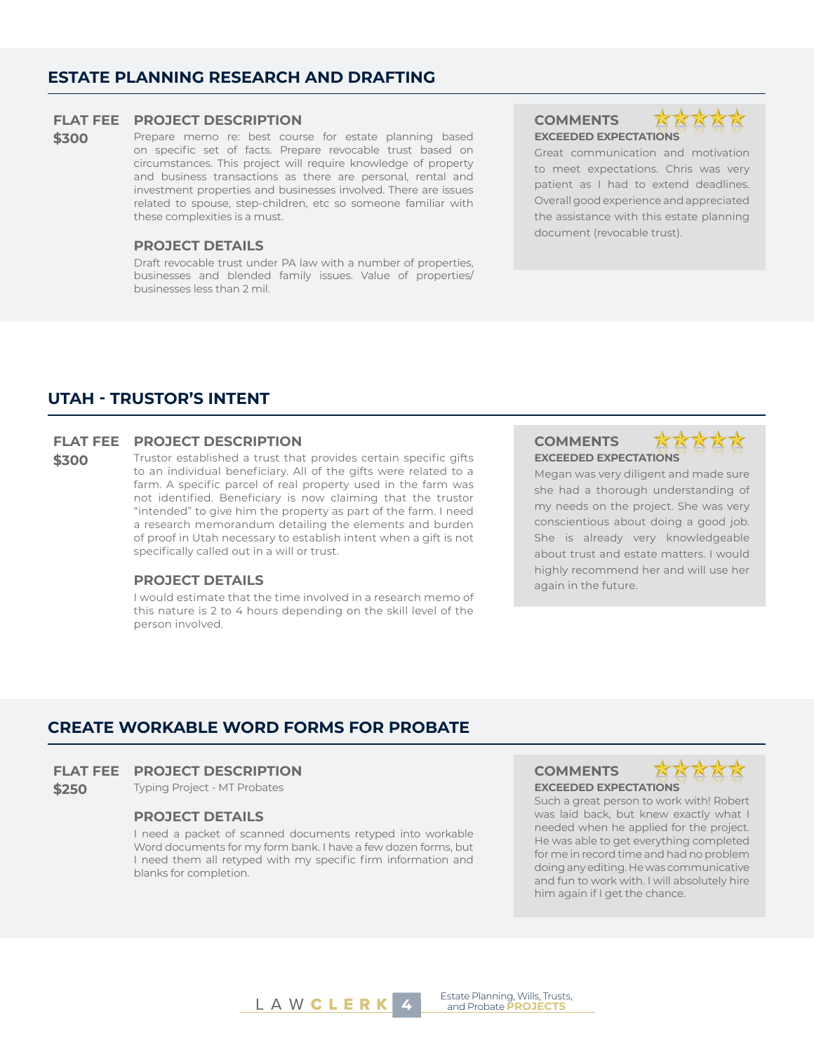#### **ESTATE PLANNING RESEARCH AND DRAFTING**

#### **FLAT FEE PROJECT DESCRIPTION COMMENTS**

\$300 Prepare memo re: best course for estate planning based on specific set of facts. Prepare revocable trust based on circumstances. This project will require knowledge of property and business transactions as there are personal, rental and investment properties and businesses involved. There are issues related to spouse, step-children, etc so someone familiar with these complexities is a must.

#### **PROJECT DETAILS**

Draft revocable trust under PA law with a number of properties, businesses and blended family issues. Value of properties/ businesses less than 2 mil.

## **EXCEEDED EXPECTATIONS**



Great communication and motivation to meet expectations. Chris was very patient as I had to extend deadlines. Overall good experience and appreciated the assistance with this estate planning document (revocable trust).

#### **UTAH - TRUSTOR'S INTENT**

#### **FLAT FEE PROJECT DESCRIPTION COMMENTS**

**\$300** Trustor established a trust that provides certain specific gifts to an individual beneficiary. All of the gifts were related to a farm. A specific parcel of real property used in the farm was not identified. Beneficiary is now claiming that the trustor "intended" to give him the property as part of the farm. I need a research memorandum detailing the elements and burden of proof in Utah necessary to establish intent when a gift is not specifically called out in a will or trust.

#### **PROJECT DETAILS** again in the future.

I would estimate that the time involved in a research memo of this nature is 2 to 4 hours depending on the skill level of the person involved.

**EXCEEDED EXPECTATIONS**



Megan was very diligent and made sure she had a thorough understanding of my needs on the project. She was very conscientious about doing a good job. She is already very knowledgeable about trust and estate matters. I would highly recommend her and will use her

#### **CREATE WORKABLE WORD FORMS FOR PROBATE**

#### **FLAT FEE PROJECT DESCRIPTION COMMENTS**

**\$250** Typing Project - MT Probates **EXCEEDED EXPECTATIONS**

#### **PROJECT DETAILS**

I need a packet of scanned documents retyped into workable Word documents for my form bank. I have a few dozen forms, but I need them all retyped with my specific firm information and blanks for completion.





Such a great person to work with! Robert was laid back, but knew exactly what I needed when he applied for the project. He was able to get everything completed for me in record time and had no problem doing any editing. He was communicative and fun to work with. I will absolutely hire him again if I get the chance.



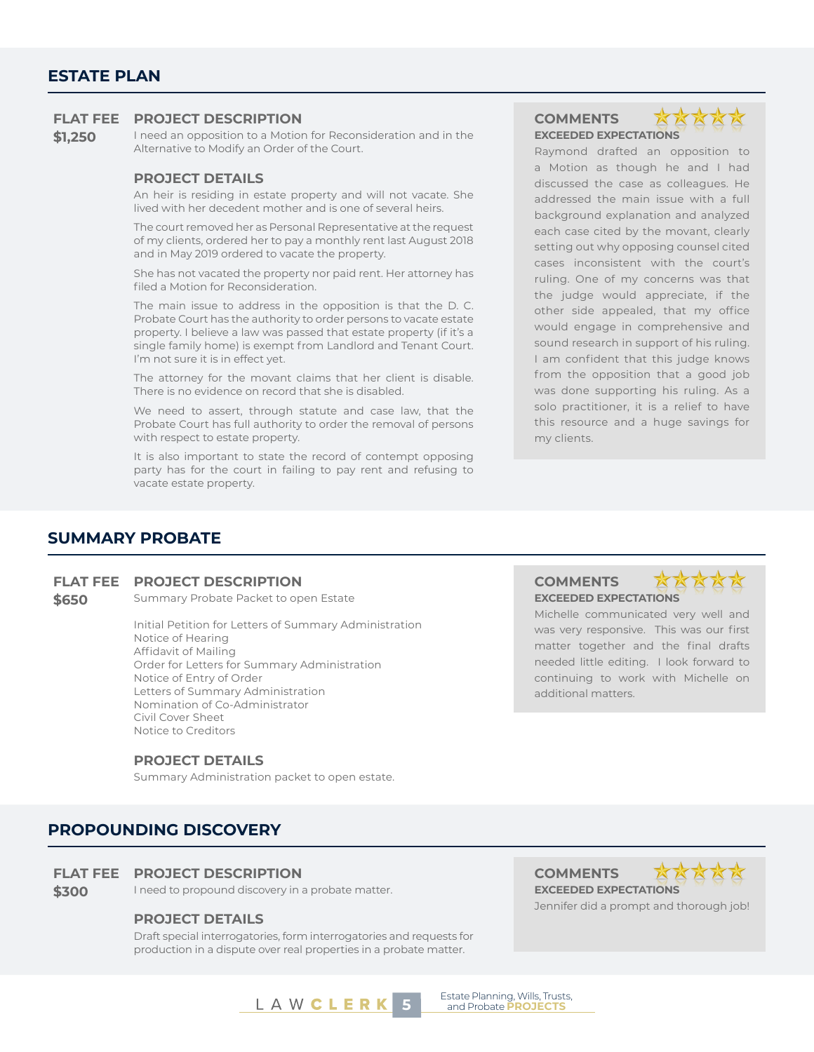#### **ESTATE PLAN**

#### **FLAT FEE PROJECT DESCRIPTION COMMENTS**

**\$1,250** I need an opposition to a Motion for Reconsideration and in the Alternative to Modify an Order of the Court.

#### **PROJECT DETAILS**

An heir is residing in estate property and will not vacate. She lived with her decedent mother and is one of several heirs.

The court removed her as Personal Representative at the request of my clients, ordered her to pay a monthly rent last August 2018 and in May 2019 ordered to vacate the property.

She has not vacated the property nor paid rent. Her attorney has filed a Motion for Reconsideration.

The main issue to address in the opposition is that the D. C. Probate Court has the authority to order persons to vacate estate property. I believe a law was passed that estate property (if it's a single family home) is exempt from Landlord and Tenant Court. I'm not sure it is in effect yet.

The attorney for the movant claims that her client is disable. There is no evidence on record that she is disabled.

We need to assert, through statute and case law, that the Probate Court has full authority to order the removal of persons with respect to estate property.

It is also important to state the record of contempt opposing party has for the court in failing to pay rent and refusing to vacate estate property.

## **EXCEEDED EXPECTATIONS**

Raymond drafted an opposition to a Motion as though he and I had discussed the case as colleagues. He addressed the main issue with a full background explanation and analyzed each case cited by the movant, clearly setting out why opposing counsel cited cases inconsistent with the court's ruling. One of my concerns was that the judge would appreciate, if the other side appealed, that my office would engage in comprehensive and sound research in support of his ruling. I am confident that this judge knows from the opposition that a good job was done supporting his ruling. As a solo practitioner, it is a relief to have this resource and a huge savings for my clients.

#### **SUMMARY PROBATE**

#### **FLAT FEE PROJECT DESCRIPTION COMMENTS**

**\$650** Summary Probate Packet to open Estate

Initial Petition for Letters of Summary Administration Notice of Hearing Affidavit of Mailing Order for Letters for Summary Administration Notice of Entry of Order Letters of Summary Administration Nomination of Co-Administrator Civil Cover Sheet Notice to Creditors

#### **PROJECT DETAILS**

Summary Administration packet to open estate.

#### **PROPOUNDING DISCOVERY**

#### **FLAT FEE PROJECT DESCRIPTION COMMENTS**

**\$300** I need to propound discovery in a probate matter. **EXCEEDED EXPECTATIONS** 

#### **PROJECT DETAILS**

Draft special interrogatories, form interrogatories and requests for production in a dispute over real properties in a probate matter.

additional matters.

**EXCEEDED EXPECTATIONS**

Michelle communicated very well and was very responsive. This was our first matter together and the final drafts needed little editing. I look forward to continuing to work with Michelle on

**XX** 



Jennifer did a prompt and thorough job!

**5** Estate Planning, Wills, Trusts,<br> **5** and Probate **PROJECTS**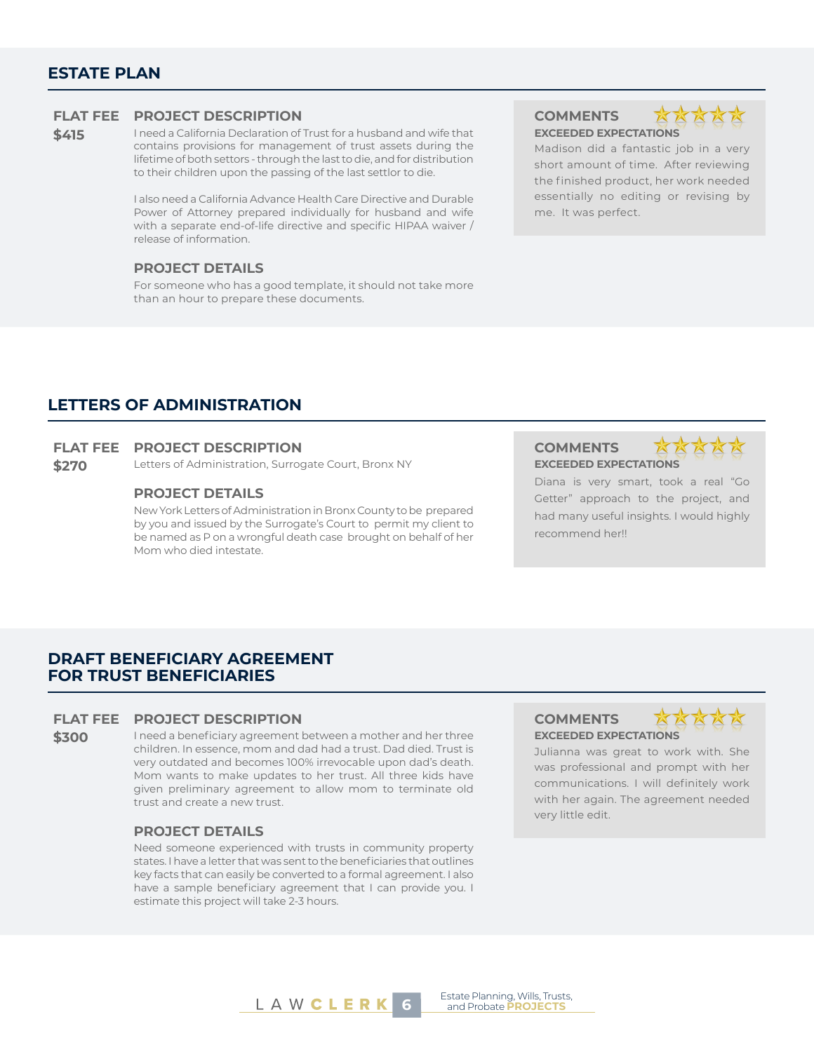#### **ESTATE PLAN**

#### **FLAT FEE PROJECT DESCRIPTION COMMENTS**

**\$415** I need a California Declaration of Trust for a husband and wife that contains provisions for management of trust assets during the lifetime of both settors - through the last to die, and for distribution to their children upon the passing of the last settlor to die.

> I also need a California Advance Health Care Directive and Durable Power of Attorney prepared individually for husband and wife with a separate end-of-life directive and specific HIPAA waiver / release of information.

#### **PROJECT DETAILS**

For someone who has a good template, it should not take more than an hour to prepare these documents.

**EXCEEDED EXPECTATIONS**



Madison did a fantastic job in a very short amount of time. After reviewing the finished product, her work needed essentially no editing or revising by me. It was perfect.

#### **LETTERS OF ADMINISTRATION**

#### **FLAT FEE PROJECT DESCRIPTION COMMENTS**

**\$270** Letters of Administration, Surrogate Court, Bronx NY **EXCEEDED EXPECTATIONS** 

#### **PROJECT DETAILS**

New York Letters of Administration in Bronx County to be prepared by you and issued by the Surrogate's Court to permit my client to be named as P on a wrongful death case brought on behalf of her Mom who died intestate.



Diana is very smart, took a real "Go Getter" approach to the project, and had many useful insights. I would highly recommend her!!

### **DRAFT BENEFICIARY AGREEMENT FOR TRUST BENEFICIARIES**

#### **FLAT FEE PROJECT DESCRIPTION COMMENTS**

**\$300** I need a beneficiary agreement between a mother and her three children. In essence, mom and dad had a trust. Dad died. Trust is very outdated and becomes 100% irrevocable upon dad's death. Mom wants to make updates to her trust. All three kids have given preliminary agreement to allow mom to terminate old trust and create a new trust.

#### **PROJECT DETAILS**

Need someone experienced with trusts in community property states. I have a letter that was sent to the beneficiaries that outlines key facts that can easily be converted to a formal agreement. I also have a sample beneficiary agreement that I can provide you. I estimate this project will take 2-3 hours.

### **EXCEEDED EXPECTATIONS**



Julianna was great to work with. She was professional and prompt with her communications. I will definitely work with her again. The agreement needed very little edit.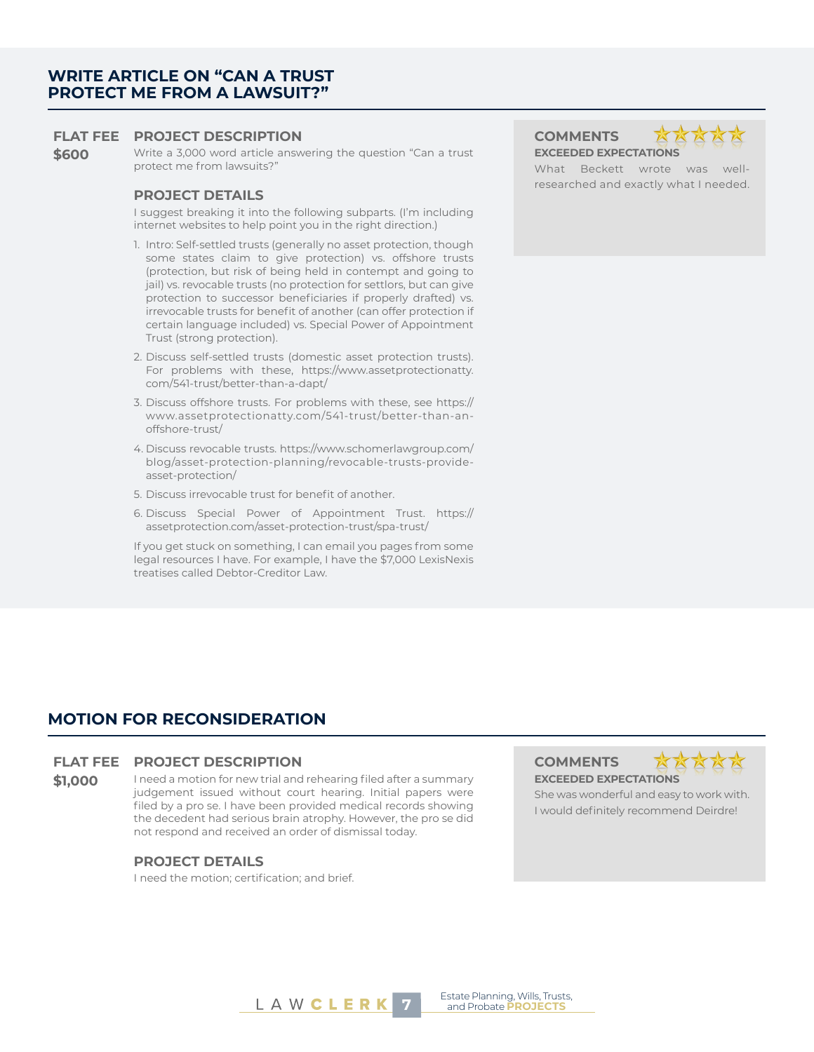#### **FLAT FEE PROJECT DESCRIPTION COMMENTS**

**\$600** Write a 3,000 word article answering the question "Can a trust protect me from lawsuits?"

#### **PROJECT DETAILS**

I suggest breaking it into the following subparts. (I'm including internet websites to help point you in the right direction.)

- 1. Intro: Self-settled trusts (generally no asset protection, though some states claim to give protection) vs. offshore trusts (protection, but risk of being held in contempt and going to jail) vs. revocable trusts (no protection for settlors, but can give protection to successor beneficiaries if properly drafted) vs. irrevocable trusts for benefit of another (can offer protection if certain language included) vs. Special Power of Appointment Trust (strong protection).
- 2. Discuss self-settled trusts (domestic asset protection trusts). For problems with these, https://www.assetprotectionatty. com/541-trust/better-than-a-dapt/
- 3. Discuss offshore trusts. For problems with these, see https:// www.assetprotectionatty.com/541-trust/better-than-anoffshore-trust/
- 4. Discuss revocable trusts. https://www.schomerlawgroup.com/ blog/asset-protection-planning/revocable-trusts-provideasset-protection/
- 5. Discuss irrevocable trust for benefit of another.
- 6. Discuss Special Power of Appointment Trust. https:// assetprotection.com/asset-protection-trust/spa-trust/

If you get stuck on something, I can email you pages from some legal resources I have. For example, I have the \$7,000 LexisNexis treatises called Debtor-Creditor Law.

**EXCEEDED EXPECTATIONS**



What Beckett wrote was wellresearched and exactly what I needed.

#### **MOTION FOR RECONSIDERATION**

#### **FLAT FEE PROJECT DESCRIPTION COMMENTS**

**\$1,000** I need a motion for new trial and rehearing filed after a summary judgement issued without court hearing. Initial papers were filed by a pro se. I have been provided medical records showing the decedent had serious brain atrophy. However, the pro se did not respond and received an order of dismissal today.

#### **PROJECT DETAILS**

I need the motion; certification; and brief.





She was wonderful and easy to work with. I would definitely recommend Deirdre!

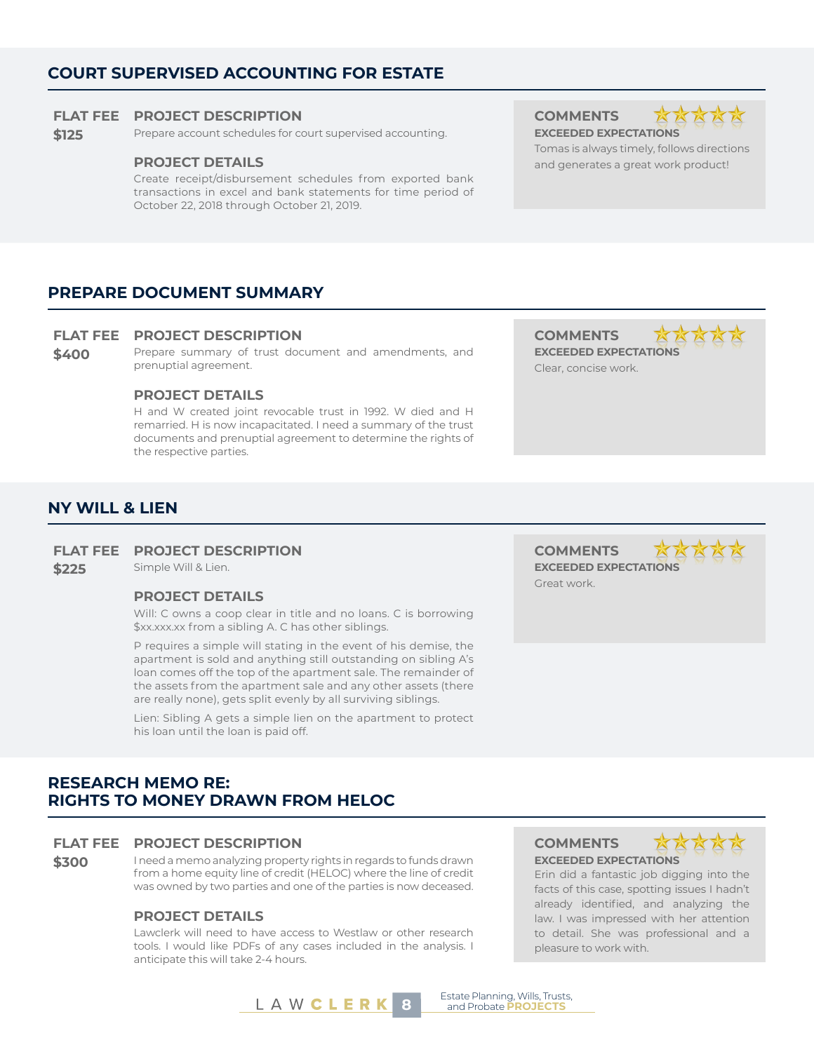### **COURT SUPERVISED ACCOUNTING FOR ESTATE**

#### **FLAT FEE PROJECT DESCRIPTION COMMENTS**

**\$125** Prepare account schedules for court supervised accounting. **EXCEEDED EXPECTATIONS** 

Create receipt/disbursement schedules from exported bank transactions in excel and bank statements for time period of October 22, 2018 through October 21, 2019.

#### **PREPARE DOCUMENT SUMMARY**

#### **FLAT FEE PROJECT DESCRIPTION COMMENTS**

**\$400** Prepare summary of trust document and amendments, and prenuptial agreement.

#### **PROJECT DETAILS**

H and W created joint revocable trust in 1992. W died and H remarried. H is now incapacitated. I need a summary of the trust documents and prenuptial agreement to determine the rights of the respective parties.

KKKKK **EXCEEDED EXPECTATIONS** Clear, concise work.

#### **NY WILL & LIEN**

#### **FLAT FEE PROJECT DESCRIPTION COMMENTS**

#### **PROJECT DETAILS**

Will: C owns a coop clear in title and no loans. C is borrowing \$xx.xxx.xx from a sibling A. C has other siblings.

P requires a simple will stating in the event of his demise, the apartment is sold and anything still outstanding on sibling A's loan comes off the top of the apartment sale. The remainder of the assets from the apartment sale and any other assets (there are really none), gets split evenly by all surviving siblings.

Lien: Sibling A gets a simple lien on the apartment to protect his loan until the loan is paid off.

**\$225** Simple Will & Lien. **EXCEEDED EXPECTATIONS** Great work.

#### **RESEARCH MEMO RE: RIGHTS TO MONEY DRAWN FROM HELOC**

#### **FLAT FEE PROJECT DESCRIPTION COMMENTS**

**\$300** I need a memo analyzing property rights in regards to funds drawn from a home equity line of credit (HELOC) where the line of credit was owned by two parties and one of the parties is now deceased.

#### **PROJECT DETAILS**

Lawclerk will need to have access to Westlaw or other research tools. I would like PDFs of any cases included in the analysis. I anticipate this will take 2-4 hours.

**EXCEEDED EXPECTATIONS**



Erin did a fantastic job digging into the facts of this case, spotting issues I hadn't already identified, and analyzing the law. I was impressed with her attention to detail. She was professional and a pleasure to work with.

L A W **C L E R K 8 B** Estate Planning, Wills, Trusts,







Tomas is always timely, follows directions **PROJECT DETAILS All and generates a great work product!**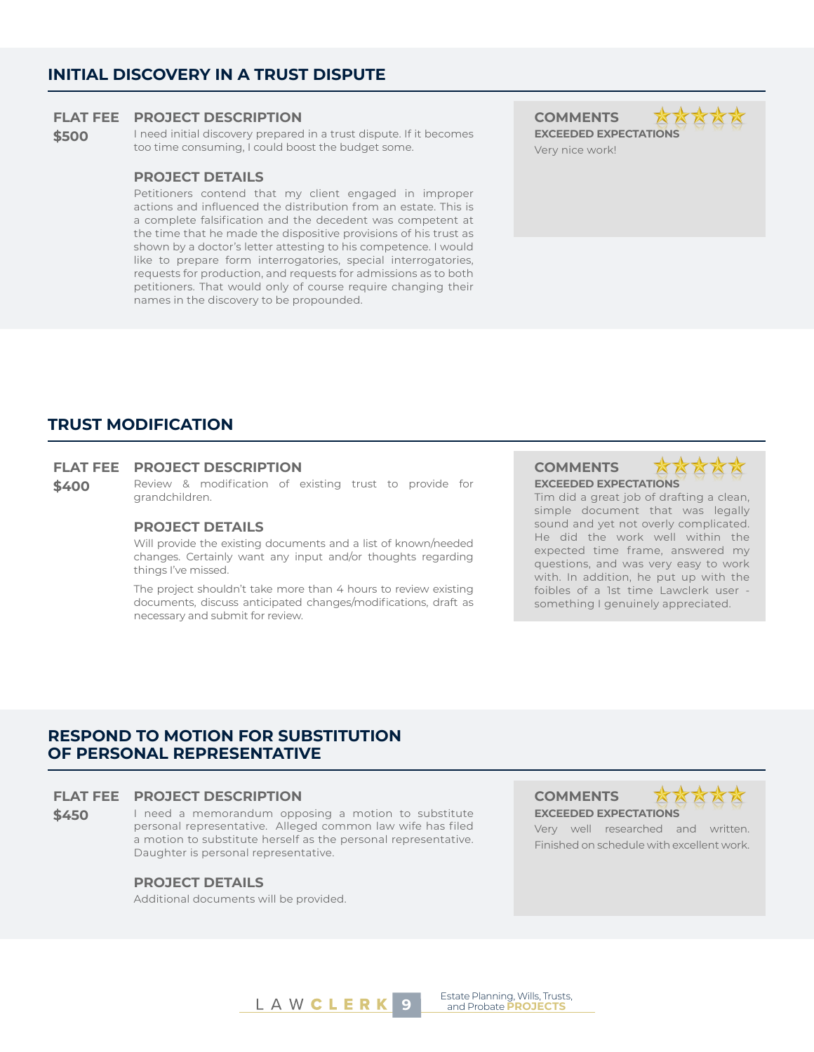#### **INITIAL DISCOVERY IN A TRUST DISPUTE**

#### **FLAT FEE PROJECT DESCRIPTION COMMENTS**

**\$500** I need initial discovery prepared in a trust dispute. If it becomes too time consuming, I could boost the budget some.

#### **PROJECT DETAILS**

Petitioners contend that my client engaged in improper actions and influenced the distribution from an estate. This is a complete falsification and the decedent was competent at the time that he made the dispositive provisions of his trust as shown by a doctor's letter attesting to his competence. I would like to prepare form interrogatories, special interrogatories, requests for production, and requests for admissions as to both petitioners. That would only of course require changing their names in the discovery to be propounded.

**EXCEEDED EXPECTATIONS** Very nice work!



#### **TRUST MODIFICATION**

#### **FLAT FEE PROJECT DESCRIPTION COMMENTS**

**\$400** Review & modification of existing trust to provide for grandchildren.

#### **PROJECT DETAILS**

Will provide the existing documents and a list of known/needed changes. Certainly want any input and/or thoughts regarding things I've missed.

The project shouldn't take more than 4 hours to review existing documents, discuss anticipated changes/modifications, draft as necessary and submit for review.

**EXCEEDED EXPECTATIONS**



Tim did a great job of drafting a clean, simple document that was legally sound and yet not overly complicated. He did the work well within the expected time frame, answered my questions, and was very easy to work with. In addition, he put up with the foibles of a 1st time Lawclerk user -

something I genuinely appreciated.

#### **RESPOND TO MOTION FOR SUBSTITUTION OF PERSONAL REPRESENTATIVE**

#### **FLAT FEE PROJECT DESCRIPTION COMMENTS**

**\$450** I need a memorandum opposing a motion to substitute personal representative. Alleged common law wife has filed a motion to substitute herself as the personal representative. Daughter is personal representative.

#### **PROJECT DETAILS**

Additional documents will be provided.

**EXCEEDED EXPECTATIONS**



Very well researched and written. Finished on schedule with excellent work.